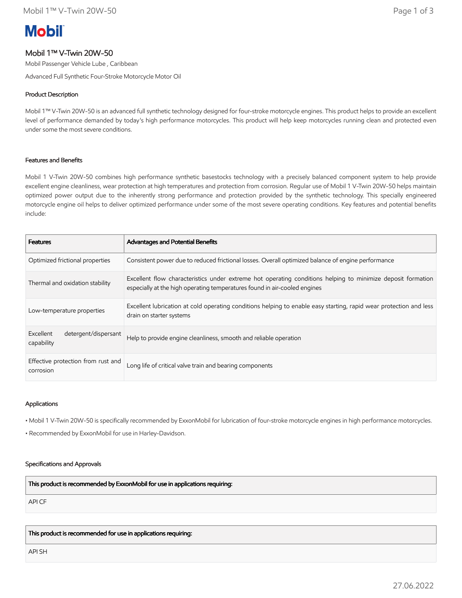# **Mobil**

## Mobil 1™ V-Twin 20W-50

Mobil Passenger Vehicle Lube , Caribbean

Advanced Full Synthetic Four-Stroke Motorcycle Motor Oil

## Product Description

Mobil 1™ V-Twin 20W-50 is an advanced full synthetic technology designed for four-stroke motorcycle engines. This product helps to provide an excellent level of performance demanded by today's high performance motorcycles. This product will help keep motorcycles running clean and protected even under some the most severe conditions.

## Features and Benefits

Mobil 1 V-Twin 20W-50 combines high performance synthetic basestocks technology with a precisely balanced component system to help provide excellent engine cleanliness, wear protection at high temperatures and protection from corrosion. Regular use of Mobil 1 V-Twin 20W-50 helps maintain optimized power output due to the inherently strong performance and protection provided by the synthetic technology. This specially engineered motorcycle engine oil helps to deliver optimized performance under some of the most severe operating conditions. Key features and potential benefits include:

| <b>Features</b>                                 | Advantages and Potential Benefits                                                                                                                                                        |
|-------------------------------------------------|------------------------------------------------------------------------------------------------------------------------------------------------------------------------------------------|
| Optimized frictional properties                 | Consistent power due to reduced frictional losses. Overall optimized balance of engine performance                                                                                       |
| Thermal and oxidation stability                 | Excellent flow characteristics under extreme hot operating conditions helping to minimize deposit formation<br>especially at the high operating temperatures found in air-cooled engines |
| Low-temperature properties                      | Excellent lubrication at cold operating conditions helping to enable easy starting, rapid wear protection and less<br>drain on starter systems                                           |
| detergent/dispersant<br>Excellent<br>capability | Help to provide engine cleanliness, smooth and reliable operation                                                                                                                        |
| Effective protection from rust and<br>corrosion | Long life of critical valve train and bearing components                                                                                                                                 |

## Applications

• Mobil 1 V-Twin 20W-50 is specifically recommended by ExxonMobil for lubrication of four-stroke motorcycle engines in high performance motorcycles.

• Recommended by ExxonMobil for use in Harley-Davidson.

## Specifications and Approvals

This product is recommended by ExxonMobil for use in applications requiring:

API CF

This product is recommended for use in applications requiring:

API SH